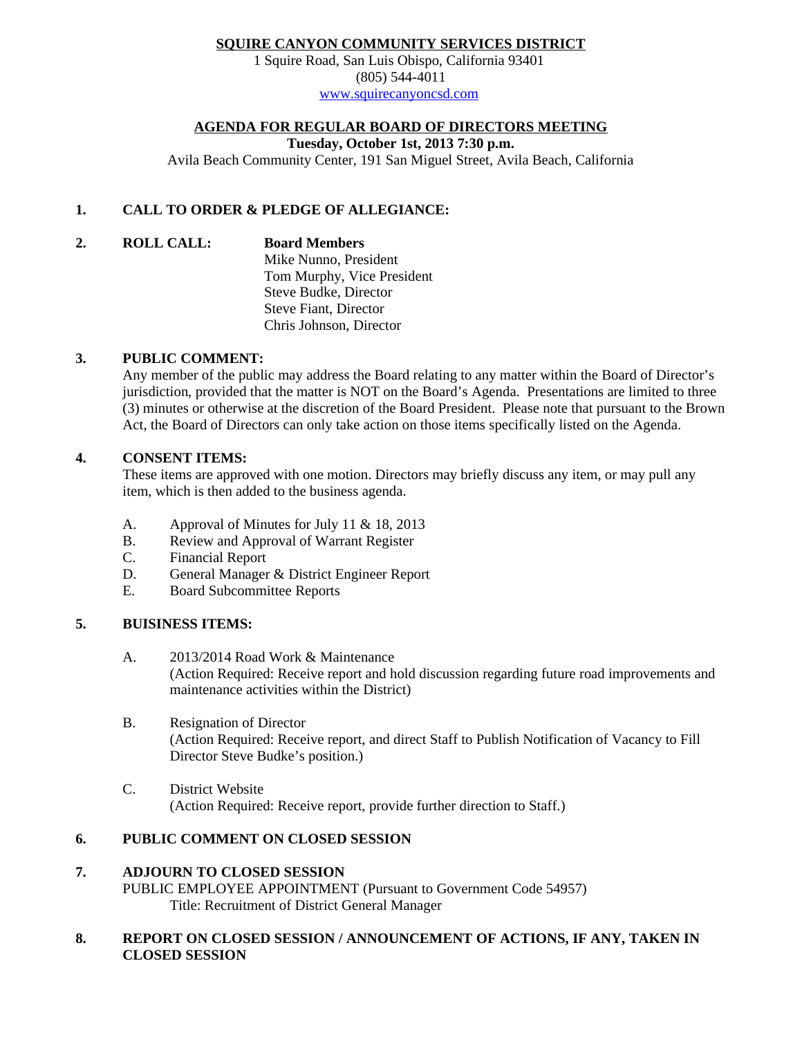# **SQUIRE CANYON COMMUNITY SERVICES DISTRICT**

1 Squire Road, San Luis Obispo, California 93401 (805) 544-4011 [www.squirecanyoncsd.com](http://www.squirecanyoncsd.com/)

## **AGENDA FOR REGULAR BOARD OF DIRECTORS MEETING**

**Tuesday, October 1st, 2013 7:30 p.m.**

Avila Beach Community Center, 191 San Miguel Street, Avila Beach, California

## **1. CALL TO ORDER & PLEDGE OF ALLEGIANCE:**

**2. ROLL CALL: Board Members**

Mike Nunno, President Tom Murphy, Vice President Steve Budke, Director Steve Fiant, Director Chris Johnson, Director

#### **3. PUBLIC COMMENT:**

Any member of the public may address the Board relating to any matter within the Board of Director's jurisdiction, provided that the matter is NOT on the Board's Agenda. Presentations are limited to three (3) minutes or otherwise at the discretion of the Board President. Please note that pursuant to the Brown Act, the Board of Directors can only take action on those items specifically listed on the Agenda.

## **4. CONSENT ITEMS:**

These items are approved with one motion. Directors may briefly discuss any item, or may pull any item, which is then added to the business agenda.

- A. Approval of Minutes for July 11 & 18, 2013
- B. Review and Approval of Warrant Register
- C. Financial Report
- D. General Manager & District Engineer Report
- E. Board Subcommittee Reports

#### **5. BUISINESS ITEMS:**

- A. 2013/2014 Road Work & Maintenance (Action Required: Receive report and hold discussion regarding future road improvements and maintenance activities within the District)
- B. Resignation of Director (Action Required: Receive report, and direct Staff to Publish Notification of Vacancy to Fill Director Steve Budke's position.)
- C. District Website (Action Required: Receive report, provide further direction to Staff.)

## **6. PUBLIC COMMENT ON CLOSED SESSION**

# **7. ADJOURN TO CLOSED SESSION**

PUBLIC EMPLOYEE APPOINTMENT (Pursuant to Government Code 54957) Title: Recruitment of District General Manager

## **8. REPORT ON CLOSED SESSION / ANNOUNCEMENT OF ACTIONS, IF ANY, TAKEN IN CLOSED SESSION**